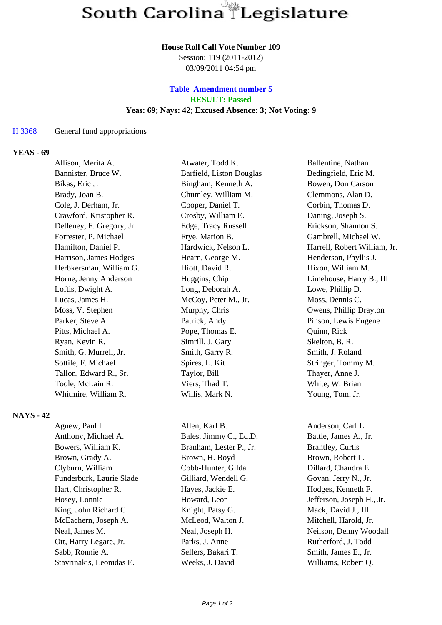### **House Roll Call Vote Number 109**

Session: 119 (2011-2012) 03/09/2011 04:54 pm

## **Table Amendment number 5 RESULT: Passed Yeas: 69; Nays: 42; Excused Absence: 3; Not Voting: 9**

#### H 3368 General fund appropriations

### **YEAS - 69**

|                  | Allison, Merita A.        | Atwater, Todd K.         | Ballentine, Nathan           |
|------------------|---------------------------|--------------------------|------------------------------|
|                  | Bannister, Bruce W.       | Barfield, Liston Douglas | Bedingfield, Eric M.         |
|                  | Bikas, Eric J.            | Bingham, Kenneth A.      | Bowen, Don Carson            |
|                  | Brady, Joan B.            | Chumley, William M.      | Clemmons, Alan D.            |
|                  | Cole, J. Derham, Jr.      | Cooper, Daniel T.        | Corbin, Thomas D.            |
|                  | Crawford, Kristopher R.   | Crosby, William E.       | Daning, Joseph S.            |
|                  | Delleney, F. Gregory, Jr. | Edge, Tracy Russell      | Erickson, Shannon S.         |
|                  | Forrester, P. Michael     | Frye, Marion B.          | Gambrell, Michael W.         |
|                  | Hamilton, Daniel P.       | Hardwick, Nelson L.      | Harrell, Robert William, Jr. |
|                  | Harrison, James Hodges    | Hearn, George M.         | Henderson, Phyllis J.        |
|                  | Herbkersman, William G.   | Hiott, David R.          | Hixon, William M.            |
|                  | Horne, Jenny Anderson     | Huggins, Chip            | Limehouse, Harry B., III     |
|                  | Loftis, Dwight A.         | Long, Deborah A.         | Lowe, Phillip D.             |
|                  | Lucas, James H.           | McCoy, Peter M., Jr.     | Moss, Dennis C.              |
|                  | Moss, V. Stephen          | Murphy, Chris            | Owens, Phillip Drayton       |
|                  | Parker, Steve A.          | Patrick, Andy            | Pinson, Lewis Eugene         |
|                  | Pitts, Michael A.         | Pope, Thomas E.          | Quinn, Rick                  |
|                  | Ryan, Kevin R.            | Simrill, J. Gary         | Skelton, B. R.               |
|                  | Smith, G. Murrell, Jr.    | Smith, Garry R.          | Smith, J. Roland             |
|                  | Sottile, F. Michael       | Spires, L. Kit           | Stringer, Tommy M.           |
|                  | Tallon, Edward R., Sr.    | Taylor, Bill             | Thayer, Anne J.              |
|                  | Toole, McLain R.          | Viers, Thad T.           | White, W. Brian              |
|                  | Whitmire, William R.      | Willis, Mark N.          | Young, Tom, Jr.              |
| <b>NAYS - 42</b> |                           |                          |                              |

| Agnew, Paul L.           | Allen, Karl B.          | Anderson, Carl L.         |
|--------------------------|-------------------------|---------------------------|
| Anthony, Michael A.      | Bales, Jimmy C., Ed.D.  | Battle, James A., Jr.     |
| Bowers, William K.       | Branham, Lester P., Jr. | <b>Brantley</b> , Curtis  |
| Brown, Grady A.          | Brown, H. Boyd          | Brown, Robert L.          |
| Clyburn, William         | Cobb-Hunter, Gilda      | Dillard, Chandra E.       |
| Funderburk, Laurie Slade | Gilliard, Wendell G.    | Govan, Jerry N., Jr.      |
| Hart, Christopher R.     | Hayes, Jackie E.        | Hodges, Kenneth F.        |
| Hosey, Lonnie            | Howard, Leon            | Jefferson, Joseph H., Jr. |
| King, John Richard C.    | Knight, Patsy G.        | Mack, David J., III       |
| McEachern, Joseph A.     | McLeod, Walton J.       | Mitchell, Harold, Jr.     |
| Neal, James M.           | Neal, Joseph H.         | Neilson, Denny Woodall    |
| Ott, Harry Legare, Jr.   | Parks, J. Anne          | Rutherford, J. Todd       |
| Sabb, Ronnie A.          | Sellers, Bakari T.      | Smith, James E., Jr.      |
| Stavrinakis Leonidas E   | Weeks I David           | Williams Robert O         |